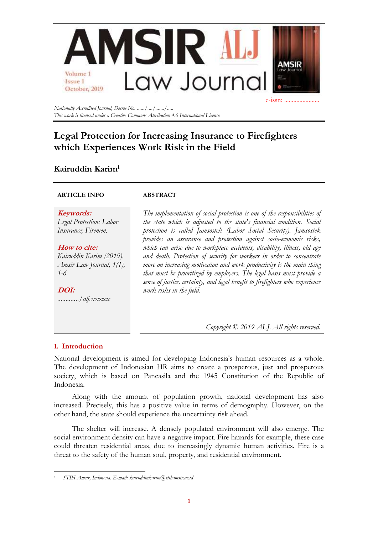

*Nationally Accredited Journal, Decree No. ....../..../......./..... This work is licensed under a Creative Commons Attribution 4.0 International License.*

# **Legal Protection for Increasing Insurance to Firefighters which Experiences Work Risk in the Field**

# **Kairuddin Karim<sup>1</sup>**

#### **ARTICLE INFO ABSTRACT**

**Keywords:** *Legal Protection; Labor Insurance; Firemen.*

## **How to cite:**

*Kairuddin Karim (2019). Amsir Law Journal, 1(1), 1-6*

**DOI:** *............./alj.xxxxx* *the state which is adjusted to the state's financial condition. Social protection is called Jamsostek (Labor Social Security). Jamsostek provides an assurance and protection against socio-economic risks, which can arise due to workplace accidents, disability, illness, old age and death. Protection of security for workers in order to concentrate more on increasing motivation and work productivity is the main thing that must be prioritized by employers. The legal basis must provide a sense of justice, certainty, and legal benefit to firefighters who experience work risks in the field.*

*The implementation of social protection is one of the responsibilities of*

*Copyright © 2019 ALJ. All rights reserved.*

# **1. Introduction**

National development is aimed for developing Indonesia's human resources as a whole. The development of Indonesian HR aims to create a prosperous, just and prosperous society, which is based on Pancasila and the 1945 Constitution of the Republic of Indonesia.

Along with the amount of population growth, national development has also increased. Precisely, this has a positive value in terms of demography. However, on the other hand, the state should experience the uncertainty risk ahead.

The shelter will increase. A densely populated environment will also emerge. The social environment density can have a negative impact. Fire hazards for example, these case could threaten residential areas, due to increasingly dynamic human activities. Fire is a threat to the safety of the human soul, property, and residential environment.

<sup>1</sup> *STIH Amsir, Indonesia. E-mail: [kairuddinkarim@stihamsir.ac.id](mailto:firmanbojo@gmail.com)*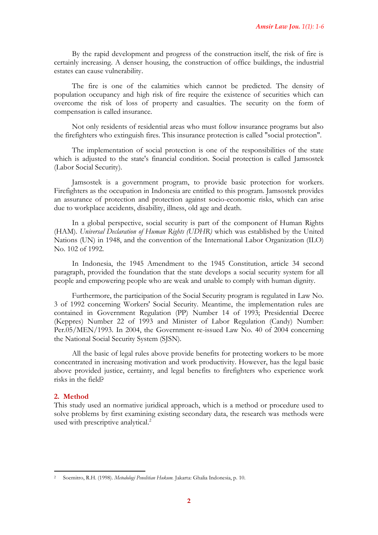By the rapid development and progress of the construction itself, the risk of fire is certainly increasing. A denser housing, the construction of office buildings, the industrial estates can cause vulnerability.

The fire is one of the calamities which cannot be predicted. The density of population occupancy and high risk of fire require the existence of securities which can overcome the risk of loss of property and casualties. The security on the form of compensation is called insurance.

Not only residents of residential areas who must follow insurance programs but also the firefighters who extinguish fires. This insurance protection is called "social protection".

The implementation of social protection is one of the responsibilities of the state which is adjusted to the state's financial condition. Social protection is called Jamsostek (Labor Social Security).

Jamsostek is a government program, to provide basic protection for workers. Firefighters as the occupation in Indonesia are entitled to this program. Jamsostek provides an assurance of protection and protection against socio-economic risks, which can arise due to workplace accidents, disability, illness, old age and death.

In a global perspective, social security is part of the component of Human Rights (HAM). *Universal Declaration of Human Rights (UDHR)* which was established by the United Nations (UN) in 1948, and the convention of the International Labor Organization (ILO) No. 102 of 1992.

In Indonesia, the 1945 Amendment to the 1945 Constitution, article 34 second paragraph, provided the foundation that the state develops a social security system for all people and empowering people who are weak and unable to comply with human dignity.

Furthermore, the participation of the Social Security program is regulated in Law No. 3 of 1992 concerning Workers' Social Security. Meantime, the implementation rules are contained in Government Regulation (PP) Number 14 of 1993; Presidential Decree (Keppres) Number 22 of 1993 and Minister of Labor Regulation (Candy) Number: Per.05/MEN/1993. In 2004, the Government re-issued Law No. 40 of 2004 concerning the National Social Security System (SJSN).

All the basic of legal rules above provide benefits for protecting workers to be more concentrated in increasing motivation and work productivity. However, has the legal basic above provided justice, certainty, and legal benefits to firefighters who experience work risks in the field?

#### **2. Method**

This study used an normative juridical approach, which is a method or procedure used to solve problems by first examining existing secondary data, the research was methods were used with prescriptive analytical. 2

<sup>2</sup> Soemitro, R.H. (1998). *Metodologi Penelitian Hukum.* Jakarta: Ghalia Indonesia, p. 10.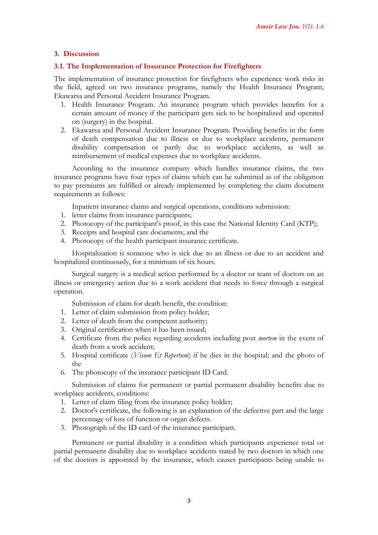# **3. Discussion**

## **3.1. The Implementation of Insurance Protection for Firefighters**

The implementation of insurance protection for firefighters who experience work risks in the field, agreed on two insurance programs, namely the Health Insurance Program; Ekawarsa and Personal Accident Insurance Program.

- 1. Health Insurance Program. An insurance program which provides benefits for a certain amount of money if the participant gets sick to be hospitalized and operated on (surgery) in the hospital.
- 2. Ekawarsa and Personal Accident Insurance Program. Providing benefits in the form of death compensation due to illness or due to workplace accidents, permanent disability compensation or partly due to workplace accidents, as well as reimbursement of medical expenses due to workplace accidents.

According to the insurance company which handles insurance claims, the two insurance programs have four types of claims which can be submitted as of the obligation to pay premiums are fulfilled or already implemented by completing the claim document requirements as follows:

Inpatient insurance claims and surgical operations, conditions submission:

- 1. letter claims from insurance participants;
- 2. Photocopy of the participant's proof, in this case the National Identity Card (KTP);
- 3. Receipts and hospital care documents; and the
- 4. Photocopy of the health participant insurance certificate.

Hospitalization is someone who is sick due to an illness or due to an accident and hospitalized continuously, for a minimum of six hours.

Surgical surgery is a medical action performed by a doctor or team of doctors on an illness or emergency action due to a work accident that needs to force through a surgical operation.

Submission of claim for death benefit, the condition:

- 1. Letter of claim submission from policy holder;
- 2. Letter of death from the competent authority;
- 3. Original certification when it has been issued;
- 4. Certificate from the police regarding accidents including post *mortem* in the event of death from a work accident;
- 5. Hospital certificate (*Visum Et Repertum*) if he dies in the hospital; and the photo of the
- 6. The photocopy of the insurance participant ID Card.

Submission of claims for permanent or partial permanent disability benefits due to workplace accidents, conditions:

- 1. Letter of claim filing from the insurance policy holder;
- 2. Doctor's certificate, the following is an explanation of the defective part and the large percentage of loss of function or organ defects.
- 3. Photograph of the ID card of the insurance participant.

Permanent or partial disability is a condition which participants experience total or partial permanent disability due to workplace accidents stated by two doctors in which one of the doctors is appointed by the insurance, which causes participants being unable to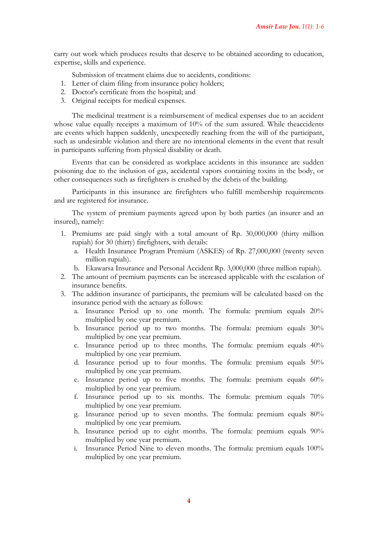carry out work which produces results that deserve to be obtained according to education, expertise, skills and experience.

Submission of treatment claims due to accidents, conditions:

- 1. Letter of claim filing from insurance policy holders;
- 2. Doctor's certificate from the hospital; and
- 3. Original receipts for medical expenses.

The medicinal treatment is a reimbursement of medical expenses due to an accident whose value equally receipts a maximum of 10% of the sum assured. While theaccidents are events which happen suddenly, unexpectedly reaching from the will of the participant, such as undesirable violation and there are no intentional elements in the event that result in participants suffering from physical disability or death.

Events that can be considered as workplace accidents in this insurance are sudden poisoning due to the inclusion of gas, accidental vapors containing toxins in the body, or other consequences such as firefighters is crushed by the debris of the building.

Participants in this insurance are firefighters who fulfill membership requirements and are registered for insurance.

The system of premium payments agreed upon by both parties (an insurer and an insured), namely:

- 1. Premiums are paid singly with a total amount of Rp. 30,000,000 (thirty million rupiah) for 30 (thirty) firefighters, with details:
	- a. Health Insurance Program Premium (ASKES) of Rp. 27,000,000 (twenty seven million rupiah).
	- b. Ekawarsa Insurance and Personal Accident Rp. 3,000,000 (three million rupiah).
- 2. The amount of premium payments can be increased applicable with the escalation of insurance benefits.
- 3. The addition insurance of participants, the premium will be calculated based on the insurance period with the actuary as follows:
	- a. Insurance Period up to one month. The formula: premium equals 20% multiplied by one year premium.
	- b. Insurance period up to two months. The formula: premium equals 30% multiplied by one year premium.
	- c. Insurance period up to three months. The formula: premium equals 40% multiplied by one year premium.
	- d. Insurance period up to four months. The formula: premium equals 50% multiplied by one year premium.
	- e. Insurance period up to five months. The formula: premium equals 60% multiplied by one year premium.
	- f. Insurance period up to six months. The formula: premium equals 70% multiplied by one year premium.
	- g. Insurance period up to seven months. The formula: premium equals 80% multiplied by one year premium.
	- h. Insurance period up to eight months. The formula: premium equals 90% multiplied by one year premium.
	- i. Insurance Period Nine to eleven months. The formula: premium equals 100% multiplied by one year premium.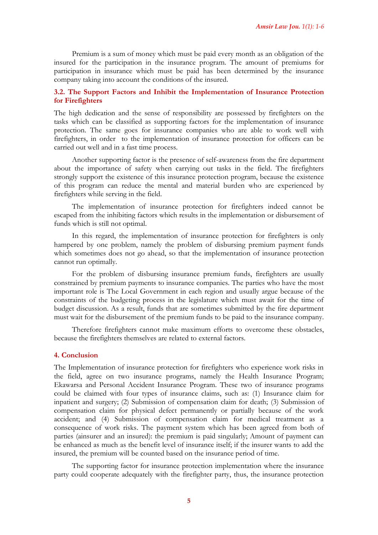Premium is a sum of money which must be paid every month as an obligation of the insured for the participation in the insurance program. The amount of premiums for participation in insurance which must be paid has been determined by the insurance company taking into account the conditions of the insured.

#### **3.2. The Support Factors and Inhibit the Implementation of Insurance Protection for Firefighters**

The high dedication and the sense of responsibility are possessed by firefighters on the tasks which can be classified as supporting factors for the implementation of insurance protection. The same goes for insurance companies who are able to work well with firefighters, in order to the implementation of insurance protection for officers can be carried out well and in a fast time process.

Another supporting factor is the presence of self-awareness from the fire department about the importance of safety when carrying out tasks in the field. The firefighters strongly support the existence of this insurance protection program, because the existence of this program can reduce the mental and material burden who are experienced by firefighters while serving in the field.

The implementation of insurance protection for firefighters indeed cannot be escaped from the inhibiting factors which results in the implementation or disbursement of funds which is still not optimal.

In this regard, the implementation of insurance protection for firefighters is only hampered by one problem, namely the problem of disbursing premium payment funds which sometimes does not go ahead, so that the implementation of insurance protection cannot run optimally.

For the problem of disbursing insurance premium funds, firefighters are usually constrained by premium payments to insurance companies. The parties who have the most important role is The Local Government in each region and usually argue because of the constraints of the budgeting process in the legislature which must await for the time of budget discussion. As a result, funds that are sometimes submitted by the fire department must wait for the disbursement of the premium funds to be paid to the insurance company.

Therefore firefighters cannot make maximum efforts to overcome these obstacles, because the firefighters themselves are related to external factors.

#### **4. Conclusion**

The Implementation of insurance protection for firefighters who experience work risks in the field, agree on two insurance programs, namely the Health Insurance Program; Ekawarsa and Personal Accident Insurance Program. These two of insurance programs could be claimed with four types of insurance claims, such as: (1) Insurance claim for inpatient and surgery; (2) Submission of compensation claim for death; (3) Submission of compensation claim for physical defect permanently or partially because of the work accident; and (4) Submission of compensation claim for medical treatment as a consequence of work risks. The payment system which has been agreed from both of parties (ainsurer and an insured): the premium is paid singularly; Amount of payment can be enhanced as much as the benefit level of insurance itself; if the insurer wants to add the insured, the premium will be counted based on the insurance period of time.

The supporting factor for insurance protection implementation where the insurance party could cooperate adequately with the firefighter party, thus, the insurance protection